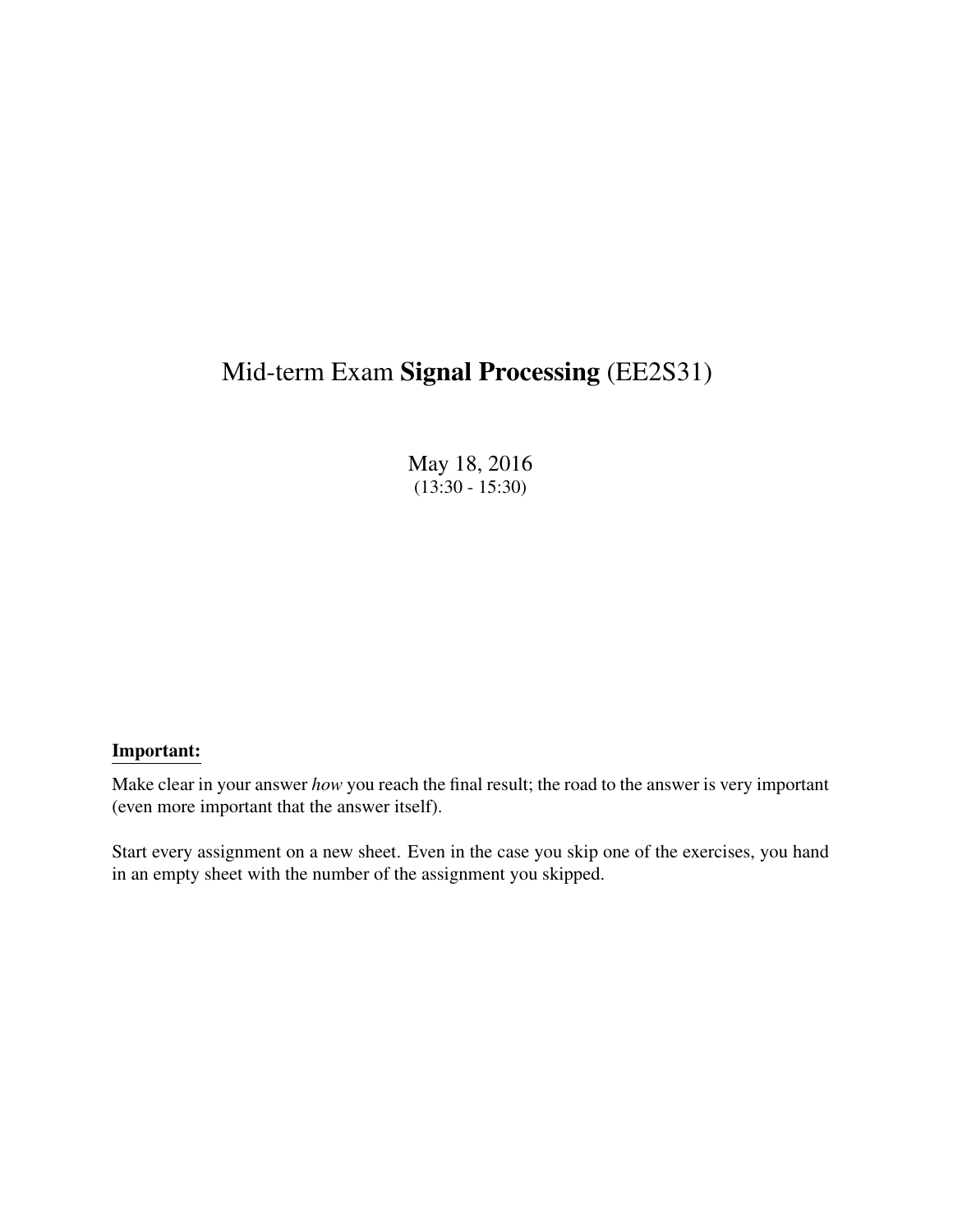# Mid-term Exam Signal Processing (EE2S31)

May 18, 2016  $(13:30 - 15:30)$ 

### Important:

Make clear in your answer *how* you reach the final result; the road to the answer is very important (even more important that the answer itself).

Start every assignment on a new sheet. Even in the case you skip one of the exercises, you hand in an empty sheet with the number of the assignment you skipped.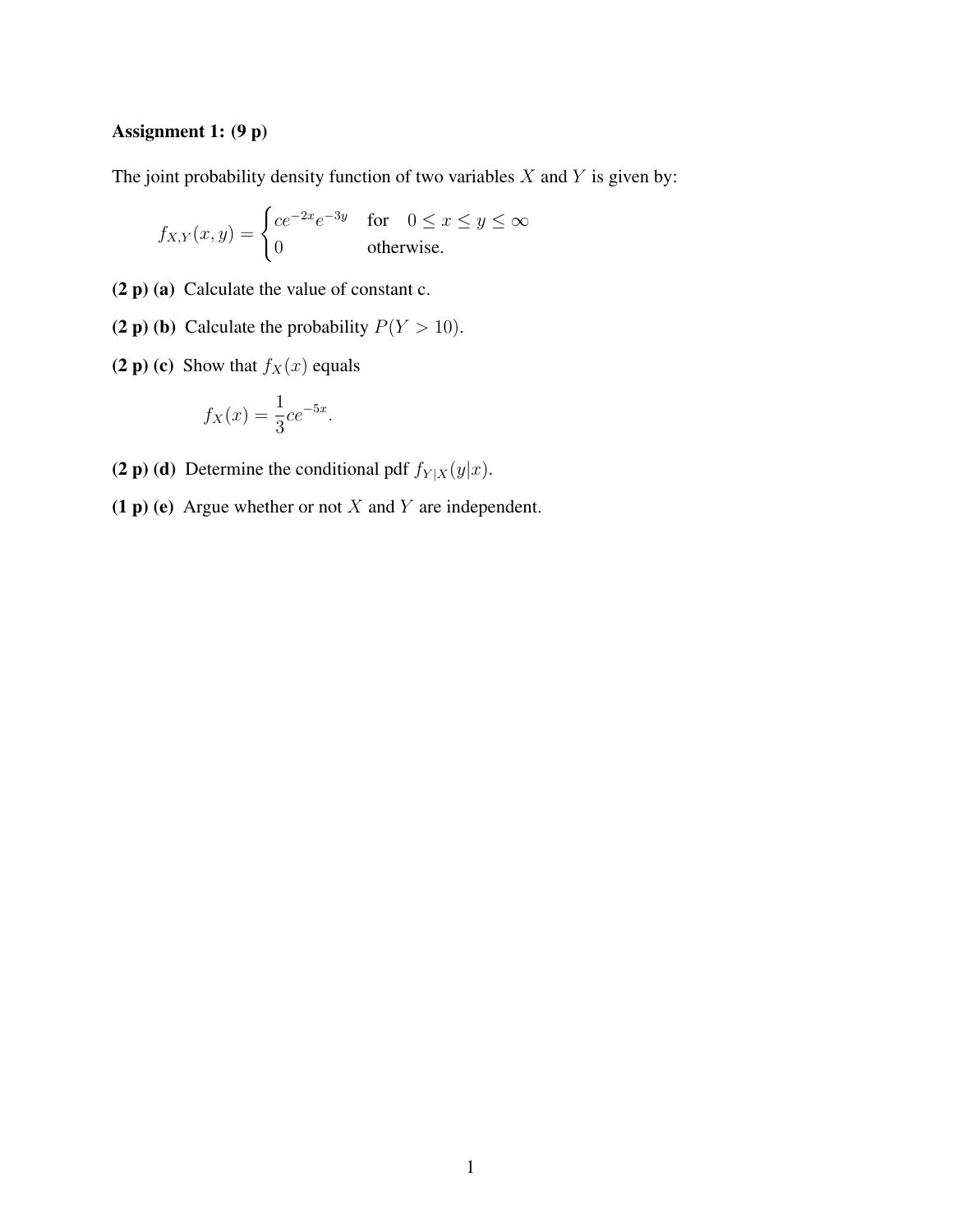## Assignment 1: (9 p)

The joint probability density function of two variables  $X$  and  $Y$  is given by:

$$
f_{X,Y}(x,y) = \begin{cases} ce^{-2x}e^{-3y} & \text{for} \quad 0 \le x \le y \le \infty \\ 0 & \text{otherwise.} \end{cases}
$$

- (2 p) (a) Calculate the value of constant c.
- (2 p) (b) Calculate the probability  $P(Y > 10)$ .
- (2 p) (c) Show that  $f_X(x)$  equals

$$
f_X(x) = \frac{1}{3}ce^{-5x}.
$$

- (2 p) (d) Determine the conditional pdf  $f_{Y|X}(y|x)$ .
- (1 p) (e) Argue whether or not  $X$  and  $Y$  are independent.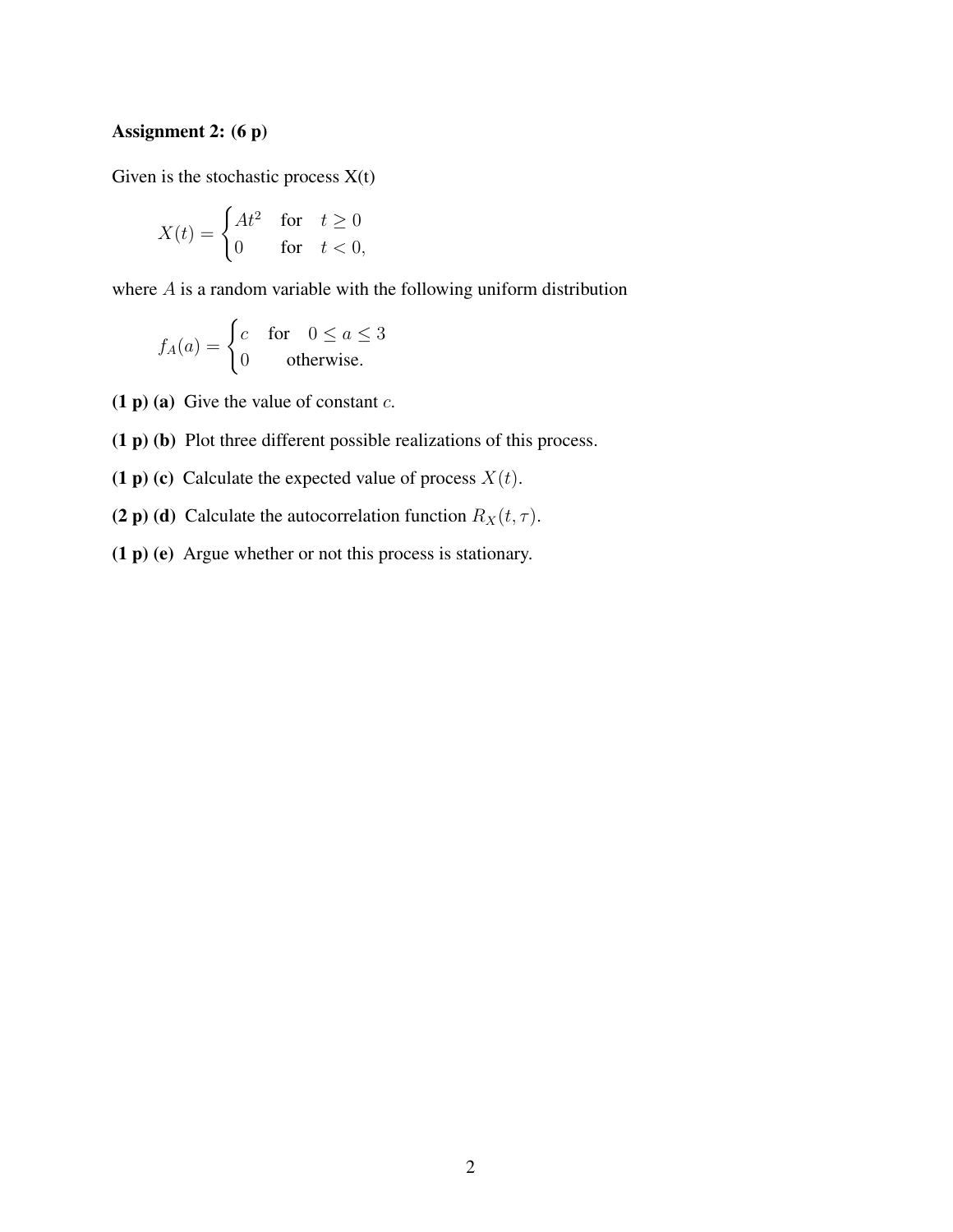## Assignment 2: (6 p)

Given is the stochastic process  $X(t)$ 

$$
X(t) = \begin{cases} At^2 & \text{for} \quad t \ge 0\\ 0 & \text{for} \quad t < 0, \end{cases}
$$

where A is a random variable with the following uniform distribution

$$
f_A(a) = \begin{cases} c & \text{for} \quad 0 \le a \le 3\\ 0 & \text{otherwise.} \end{cases}
$$

(1 p) (a) Give the value of constant  $c$ .

- (1 p) (b) Plot three different possible realizations of this process.
- (1 p) (c) Calculate the expected value of process  $X(t)$ .
- (2 p) (d) Calculate the autocorrelation function  $R_X(t, \tau)$ .
- (1 p) (e) Argue whether or not this process is stationary.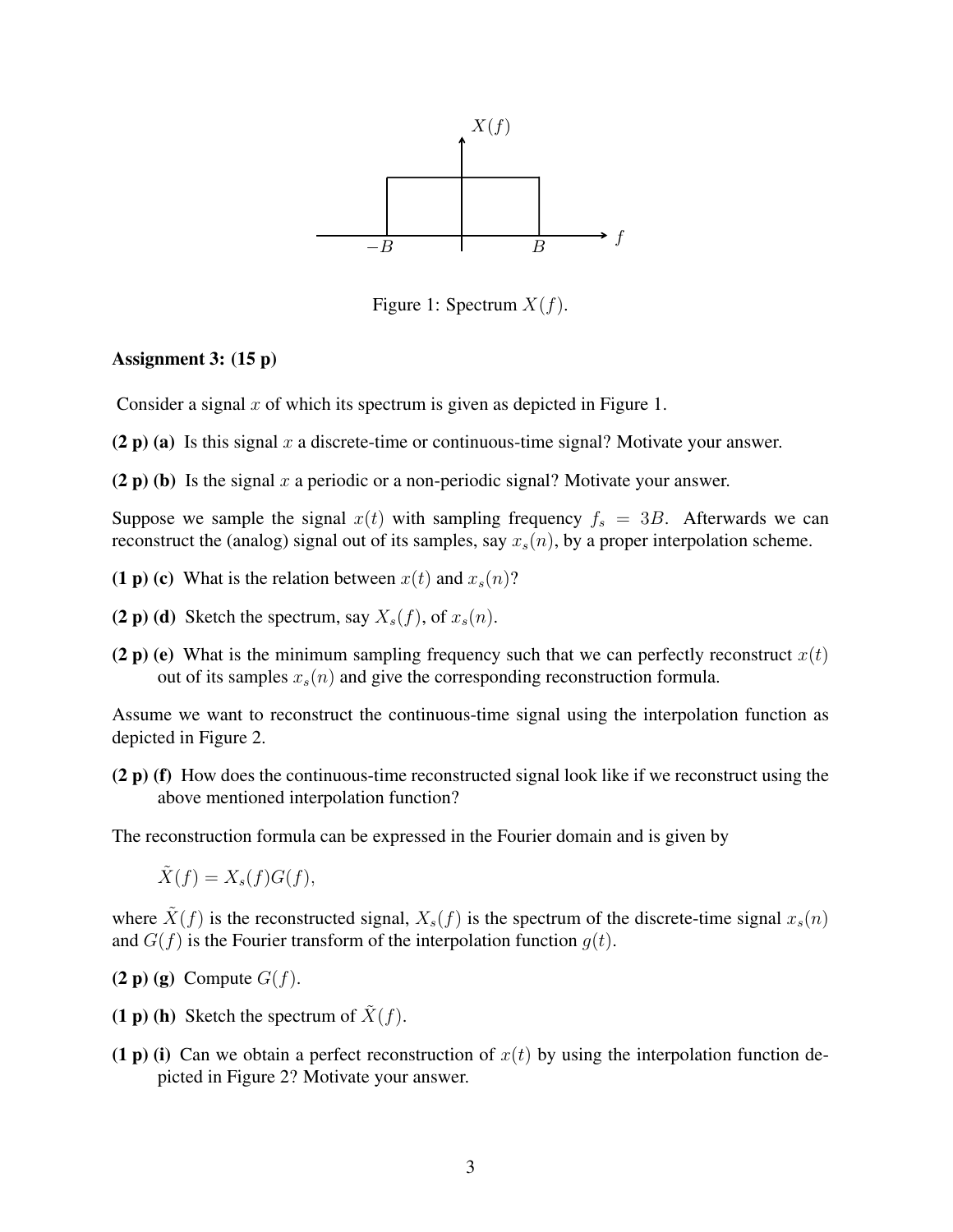

Figure 1: Spectrum  $X(f)$ .

#### Assignment 3: (15 p)

Consider a signal x of which its spectrum is given as depicted in Figure 1.

- (2 p) (a) Is this signal x a discrete-time or continuous-time signal? Motivate your answer.
- (2 p) (b) Is the signal x a periodic or a non-periodic signal? Motivate your answer.

Suppose we sample the signal  $x(t)$  with sampling frequency  $f_s = 3B$ . Afterwards we can reconstruct the (analog) signal out of its samples, say  $x_s(n)$ , by a proper interpolation scheme.

- (1 p) (c) What is the relation between  $x(t)$  and  $x_s(n)$ ?
- (2 p) (d) Sketch the spectrum, say  $X_s(f)$ , of  $x_s(n)$ .
- (2 p) (e) What is the minimum sampling frequency such that we can perfectly reconstruct  $x(t)$ out of its samples  $x_s(n)$  and give the corresponding reconstruction formula.

Assume we want to reconstruct the continuous-time signal using the interpolation function as depicted in Figure 2.

(2 p) (f) How does the continuous-time reconstructed signal look like if we reconstruct using the above mentioned interpolation function?

The reconstruction formula can be expressed in the Fourier domain and is given by

 $\tilde{X}(f) = X_s(f)G(f),$ 

where  $\tilde{X}(f)$  is the reconstructed signal,  $X_s(f)$  is the spectrum of the discrete-time signal  $x_s(n)$ and  $G(f)$  is the Fourier transform of the interpolation function  $q(t)$ .

- $(2 p) (g)$  Compute  $G(f)$ .
- (1 p) (h) Sketch the spectrum of  $\tilde{X}(f)$ .
- (1 p) (i) Can we obtain a perfect reconstruction of  $x(t)$  by using the interpolation function depicted in Figure 2? Motivate your answer.